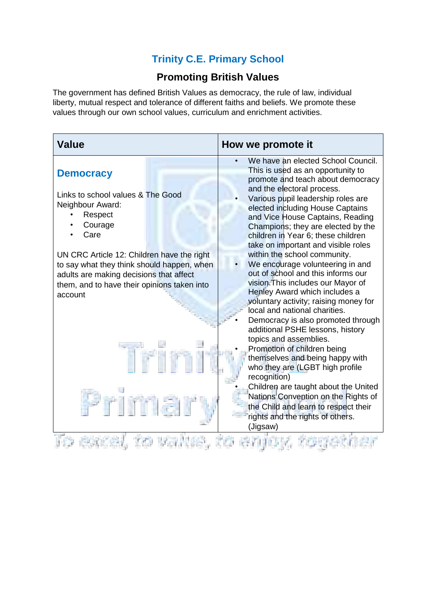## **Trinity C.E. Primary School**

## **Promoting British Values**

The government has defined British Values as democracy, the rule of law, individual liberty, mutual respect and tolerance of different faiths and beliefs. We promote these values through our own school values, curriculum and enrichment activities.

| <b>Value</b>                                                                                                                                                                                                                                                                                             | How we promote it                                                                                                                                                                                                                                                                                                                                                                                                                                                                                                                                                                                                                                                                                                                                                                                                                                                                                                                                                                                                                      |
|----------------------------------------------------------------------------------------------------------------------------------------------------------------------------------------------------------------------------------------------------------------------------------------------------------|----------------------------------------------------------------------------------------------------------------------------------------------------------------------------------------------------------------------------------------------------------------------------------------------------------------------------------------------------------------------------------------------------------------------------------------------------------------------------------------------------------------------------------------------------------------------------------------------------------------------------------------------------------------------------------------------------------------------------------------------------------------------------------------------------------------------------------------------------------------------------------------------------------------------------------------------------------------------------------------------------------------------------------------|
| <b>Democracy</b><br>Links to school values & The Good<br>Neighbour Award:<br>Respect<br>Courage<br>Care<br>UN CRC Article 12: Children have the right<br>to say what they think should happen, when<br>adults are making decisions that affect<br>them, and to have their opinions taken into<br>account | We have an elected School Council.<br>This is used as an opportunity to<br>promote and teach about democracy<br>and the electoral process.<br>Various pupil leadership roles are<br>elected including House Captains<br>and Vice House Captains, Reading<br>Champions; they are elected by the<br>children in Year 6; these children<br>take on important and visible roles<br>within the school community.<br>We encourage volunteering in and<br>out of school and this informs our<br>vision. This includes our Mayor of<br>Henley Award which includes a<br>voluntary activity; raising money for<br>local and national charities.<br>Democracy is also promoted through<br>additional PSHE lessons, history<br>topics and assemblies.<br>Promotion of children being<br>themselves and being happy with<br>who they are (LGBT high profile<br>recognition)<br>Children are taught about the United<br>Nations Convention on the Rights of<br>the Child and learn to respect their<br>rights and the rights of others.<br>(Jigsaw) |
|                                                                                                                                                                                                                                                                                                          |                                                                                                                                                                                                                                                                                                                                                                                                                                                                                                                                                                                                                                                                                                                                                                                                                                                                                                                                                                                                                                        |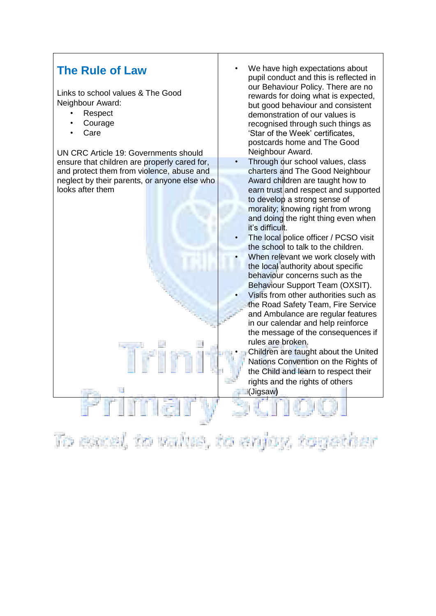## **The Rule of Law**

Links to school values & The Good Neighbour Award:

- Respect
- **Courage**
- Care

UN CRC Article 19: Governments should ensure that children are properly cared for, and protect them from violence, abuse and neglect by their parents, or anyone else who looks after them

- We have high expectations about pupil conduct and this is reflected in our Behaviour Policy. There are no rewards for doing what is expected, but good behaviour and consistent demonstration of our values is recognised through such things as 'Star of the Week' certificates, postcards home and The Good Neighbour Award.
- Through our school values, class charters and The Good Neighbour Award children are taught how to earn trust and respect and supported to develop a strong sense of morality; knowing right from wrong and doing the right thing even when it's difficult.
- The local police officer / PCSO visit the school to talk to the children.
- When relevant we work closely with the local authority about specific behaviour concerns such as the Behaviour Support Team (OXSIT).
- Visits from other authorities such as the Road Safety Team, Fire Service and Ambulance are regular features in our calendar and help reinforce the message of the consequences if rules are broken.
	- Children are taught about the United Nations Convention on the Rights of the Child and learn to respect their rights and the rights of others (Jigsaw)

To excel, to value, to enfoy, together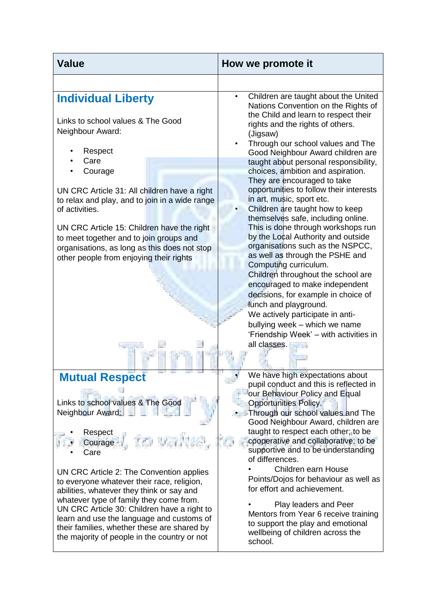| <b>Value</b>                                                                                                                                                                                                                                                                                                                                                                                                                                                                                       | How we promote it                                                                                                                                                                                                                                                                                                                                                                                                                                                                                                                                                                                                                                                                                                                                                                                                                                                                                                                                                           |
|----------------------------------------------------------------------------------------------------------------------------------------------------------------------------------------------------------------------------------------------------------------------------------------------------------------------------------------------------------------------------------------------------------------------------------------------------------------------------------------------------|-----------------------------------------------------------------------------------------------------------------------------------------------------------------------------------------------------------------------------------------------------------------------------------------------------------------------------------------------------------------------------------------------------------------------------------------------------------------------------------------------------------------------------------------------------------------------------------------------------------------------------------------------------------------------------------------------------------------------------------------------------------------------------------------------------------------------------------------------------------------------------------------------------------------------------------------------------------------------------|
|                                                                                                                                                                                                                                                                                                                                                                                                                                                                                                    |                                                                                                                                                                                                                                                                                                                                                                                                                                                                                                                                                                                                                                                                                                                                                                                                                                                                                                                                                                             |
| <b>Individual Liberty</b><br>Links to school values & The Good<br>Neighbour Award:<br>Respect<br>Care<br>Courage<br>UN CRC Article 31: All children have a right<br>to relax and play, and to join in a wide range<br>of activities.<br>UN CRC Article 15: Children have the right<br>to meet together and to join groups and<br>organisations, as long as this does not stop<br>other people from enjoying their rights                                                                           | Children are taught about the United<br>$\bullet$<br>Nations Convention on the Rights of<br>the Child and learn to respect their<br>rights and the rights of others.<br>(Jigsaw)<br>Through our school values and The<br>Good Neighbour Award children are<br>taught about personal responsibility,<br>choices, ambition and aspiration.<br>They are encouraged to take<br>opportunities to follow their interests<br>in art, music, sport etc.<br>Children are taught how to keep<br>themselves safe, including online.<br>This is done through workshops run<br>by the Local Authority and outside<br>organisations such as the NSPCC,<br>as well as through the PSHE and<br>Computing curriculum.<br>Children throughout the school are<br>encouraged to make independent<br>decisions, for example in choice of<br>lunch and playground.<br>We actively participate in anti-<br>bullying week - which we name<br>'Friendship Week' - with activities in<br>all classes. |
| <b>Mutual Respect</b><br>Links to school values & The Good<br>Neighbour Award:<br>Respect<br>ಶು ಇತ<br>Courage<br>Care<br>UN CRC Article 2: The Convention applies<br>to everyone whatever their race, religion,<br>abilities, whatever they think or say and<br>whatever type of family they come from.<br>UN CRC Article 30: Children have a right to<br>learn and use the language and customs of<br>their families, whether these are shared by<br>the majority of people in the country or not | We have high expectations about<br>pupil conduct and this is reflected in<br>our Behaviour Policy and Equal<br>Opportunities Policy.<br>Through our school values and The<br>Good Neighbour Award, children are<br>taught to respect each other; to be<br>cooperative and collaborative; to be<br>supportive and to be understanding<br>of differences.<br>Children earn House<br>Points/Dojos for behaviour as well as<br>for effort and achievement.<br>Play leaders and Peer<br>Mentors from Year 6 receive training<br>to support the play and emotional<br>wellbeing of children across the<br>school.                                                                                                                                                                                                                                                                                                                                                                 |